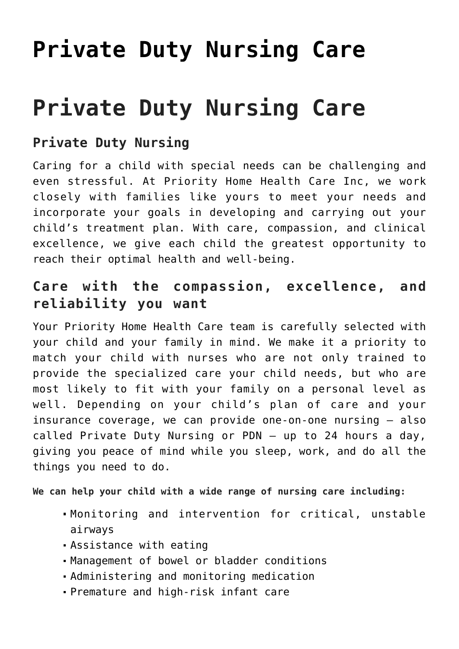# **[Private Duty Nursing Care](https://priority-homehealth.com/private-duty-nursing-care/)**

# **Private Duty Nursing Care**

#### **Private Duty Nursing**

Caring for a child with special needs can be challenging and even stressful. At Priority Home Health Care Inc, we work closely with families like yours to meet your needs and incorporate your goals in developing and carrying out your child's treatment plan. With care, compassion, and clinical excellence, we give each child the greatest opportunity to reach their optimal health and well-being.

#### **Care with the compassion, excellence, and reliability you want**

Your Priority Home Health Care team is carefully selected with your child and your family in mind. We make it a priority to match your child with nurses who are not only trained to provide the specialized care your child needs, but who are most likely to fit with your family on a personal level as well. Depending on your child's plan of care and your insurance coverage, we can provide one-on-one nursing — also called Private Duty Nursing or PDN — up to 24 hours a day, giving you peace of mind while you sleep, work, and do all the things you need to do.

**We can help your child with a wide range of nursing care including:**

- Monitoring and intervention for critical, unstable airways
- Assistance with eating
- Management of bowel or bladder conditions
- Administering and monitoring medication
- Premature and high-risk infant care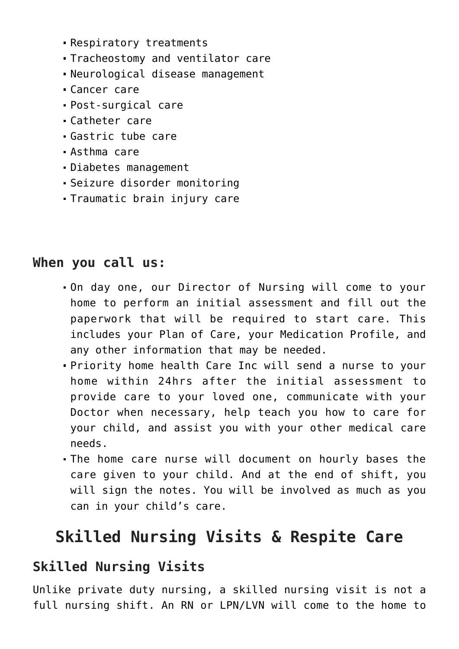- Respiratory treatments
- Tracheostomy and ventilator care
- Neurological disease management
- Cancer care
- Post-surgical care
- Catheter care
- Gastric tube care
- Asthma care
- Diabetes management
- Seizure disorder monitoring
- Traumatic brain injury care

#### **When you call us:**

- On day one, our Director of Nursing will come to your home to perform an initial assessment and fill out the paperwork that will be required to start care. This includes your Plan of Care, your Medication Profile, and any other information that may be needed.
- Priority home health Care Inc will send a nurse to your home within 24hrs after the initial assessment to provide care to your loved one, communicate with your Doctor when necessary, help teach you how to care for your child, and assist you with your other medical care needs.
- The home care nurse will document on hourly bases the care given to your child. And at the end of shift, you will sign the notes. You will be involved as much as you can in your child's care.

## **Skilled Nursing Visits & Respite Care**

#### **Skilled Nursing Visits**

Unlike private duty nursing, a skilled nursing visit is not a full nursing shift. An RN or LPN/LVN will come to the home to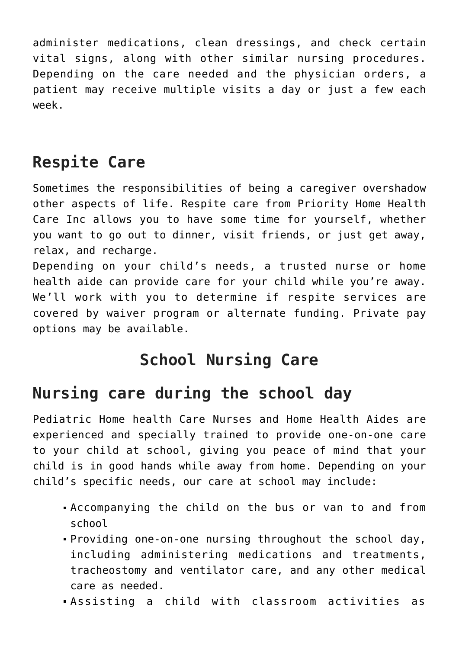administer medications, clean dressings, and check certain vital signs, along with other similar nursing procedures. Depending on the care needed and the physician orders, a patient may receive multiple visits a day or just a few each week.

# **Respite Care**

Sometimes the responsibilities of being a caregiver overshadow other aspects of life. Respite care from Priority Home Health Care Inc allows you to have some time for yourself, whether you want to go out to dinner, visit friends, or just get away, relax, and recharge.

Depending on your child's needs, a trusted nurse or home health aide can provide care for your child while you're away. We'll work with you to determine if respite services are covered by waiver program or alternate funding. Private pay options may be available.

## **School Nursing Care**

## **Nursing care during the school day**

Pediatric Home health Care Nurses and Home Health Aides are experienced and specially trained to provide one-on-one care to your child at school, giving you peace of mind that your child is in good hands while away from home. Depending on your child's specific needs, our care at school may include:

- Accompanying the child on the bus or van to and from school
- Providing one-on-one nursing throughout the school day, including administering medications and treatments, tracheostomy and ventilator care, and any other medical care as needed.
- Assisting a child with classroom activities as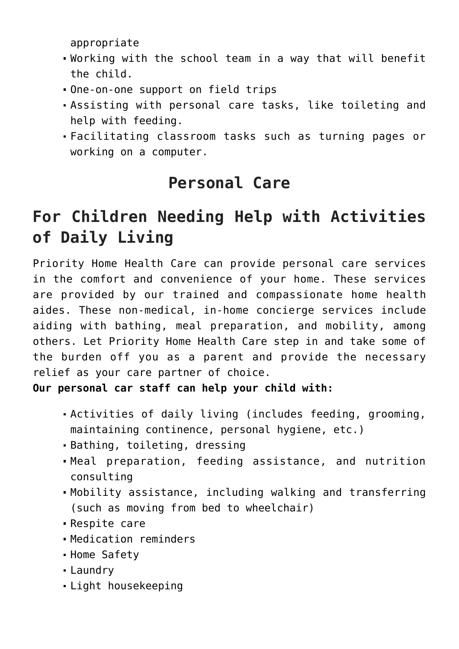appropriate

- Working with the school team in a way that will benefit the child.
- One-on-one support on field trips
- Assisting with personal care tasks, like toileting and help with feeding.
- Facilitating classroom tasks such as turning pages or working on a computer.

## **Personal Care**

## **For Children Needing Help with Activities of Daily Living**

Priority Home Health Care can provide personal care services in the comfort and convenience of your home. These services are provided by our trained and compassionate home health aides. These non-medical, in-home concierge services include aiding with bathing, meal preparation, and mobility, among others. Let Priority Home Health Care step in and take some of the burden off you as a parent and provide the necessary relief as your care partner of choice.

**Our personal car staff can help your child with:**

- Activities of daily living (includes feeding, grooming, maintaining continence, personal hygiene, etc.)
- Bathing, toileting, dressing
- Meal preparation, feeding assistance, and nutrition consulting
- Mobility assistance, including walking and transferring (such as moving from bed to wheelchair)
- Respite care
- Medication reminders
- Home Safety
- Laundry
- Light housekeeping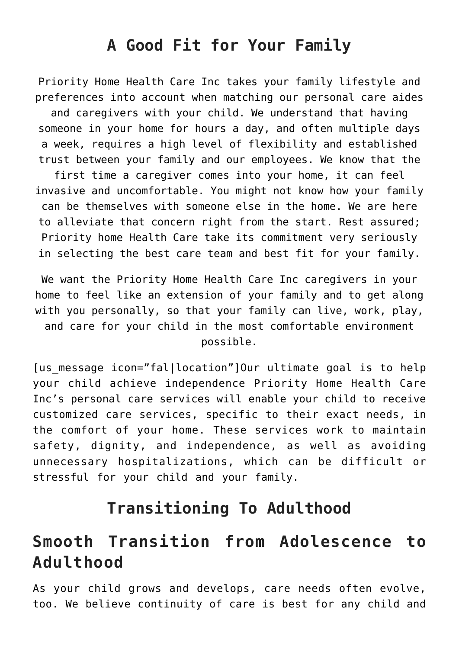### **A Good Fit for Your Family**

Priority Home Health Care Inc takes your family lifestyle and preferences into account when matching our personal care aides and caregivers with your child. We understand that having someone in your home for hours a day, and often multiple days a week, requires a high level of flexibility and established trust between your family and our employees. We know that the first time a caregiver comes into your home, it can feel invasive and uncomfortable. You might not know how your family can be themselves with someone else in the home. We are here to alleviate that concern right from the start. Rest assured; Priority home Health Care take its commitment very seriously in selecting the best care team and best fit for your family.

We want the Priority Home Health Care Inc caregivers in your home to feel like an extension of your family and to get along with you personally, so that your family can live, work, play, and care for your child in the most comfortable environment possible.

[us message icon="fal|location"]Our ultimate goal is to help your child achieve independence Priority Home Health Care Inc's personal care services will enable your child to receive customized care services, specific to their exact needs, in the comfort of your home. These services work to maintain safety, dignity, and independence, as well as avoiding unnecessary hospitalizations, which can be difficult or stressful for your child and your family.

#### **Transitioning To Adulthood**

### **Smooth Transition from Adolescence to Adulthood**

As your child grows and develops, care needs often evolve, too. We believe continuity of care is best for any child and